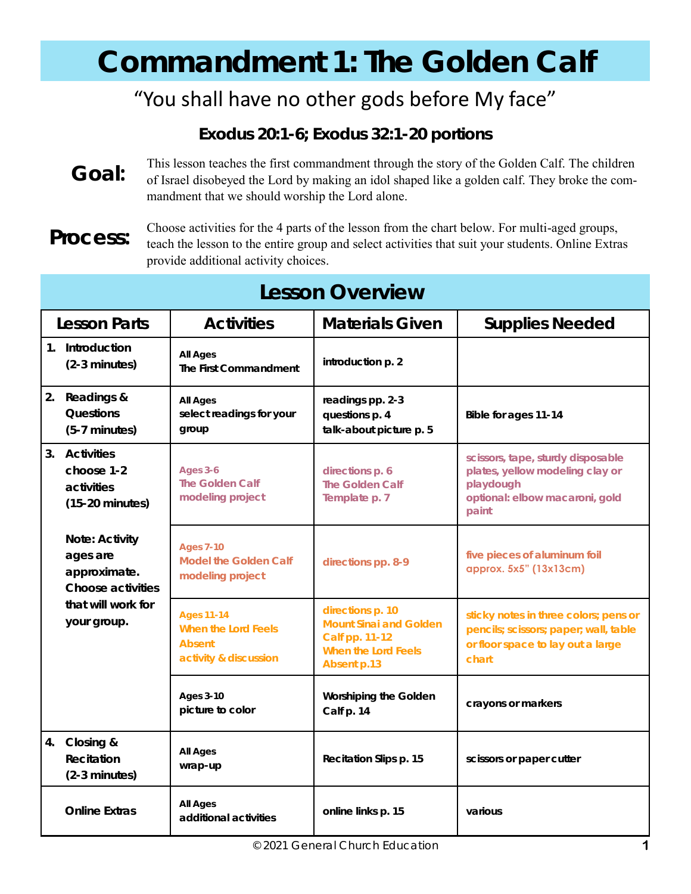# **Commandment 1: The Golden Calf**

### "You shall have no other gods before My face"

**Exodus 20:1-6; Exodus 32:1-20** *portions*

**Goal:**  This lesson teaches the first commandment through the story of the Golden Calf. The children of Israel disobeyed the Lord by making an idol shaped like a golden calf. They broke the commandment that we should worship the Lord alone.

**Process:**

Choose activities for the 4 parts of the lesson from the chart below. For multi-aged groups, teach the lesson to the entire group and select activities that suit your students. Online Extras provide additional activity choices.

| <b>Lesson Overview</b> |                                                                                                      |                                                                             |                                                                                                    |                                                                                                                              |  |
|------------------------|------------------------------------------------------------------------------------------------------|-----------------------------------------------------------------------------|----------------------------------------------------------------------------------------------------|------------------------------------------------------------------------------------------------------------------------------|--|
| Lesson Parts           |                                                                                                      | <b>Activities</b>                                                           | <b>Materials Given</b>                                                                             | <b>Supplies Needed</b>                                                                                                       |  |
|                        | 1. Introduction<br>(2-3 minutes)                                                                     | All Ages<br>The First Commandment                                           | introduction p. 2                                                                                  |                                                                                                                              |  |
| 2.                     | Readings &<br>Questions<br>(5-7 minutes)                                                             | All Ages<br>select readings for your<br>group                               | readings pp. 2-3<br>questions p. 4<br>talk-about picture p. 5                                      | Bible for ages 11-14                                                                                                         |  |
|                        | 3. Activities<br>choose 1-2<br>activities<br>$(15-20 \text{ minutes})$                               | Ages 3-6<br>The Golden Calf<br>modeling project                             | directions p. 6<br>The Golden Calf<br>Template p. 7                                                | scissors, tape, sturdy disposable<br>plates, yellow modeling clay or<br>playdough<br>optional: elbow macaroni, gold<br>paint |  |
|                        | Note: Activity<br>ages are<br>approximate.<br>Choose activities<br>that will work for<br>your group. | <b>Ages 7-10</b><br>Model the Golden Calf<br>modeling project               | directions pp. 8-9                                                                                 | five pieces of aluminum foil<br>approx. 5x5" (13x13cm)                                                                       |  |
|                        |                                                                                                      | <b>Ages 11-14</b><br>When the Lord Feels<br>Absent<br>activity & discussion | directions p. 10<br>Mount Sinai and Golden<br>Calf pp. 11-12<br>When the Lord Feels<br>Absent p.13 | sticky notes in three colors; pens or<br>pencils; scissors; paper; wall, table<br>or floor space to lay out a large<br>chart |  |
|                        |                                                                                                      | Ages 3-10<br>picture to color                                               | Worshiping the Golden<br>Calf p. 14                                                                | crayons or markers                                                                                                           |  |
| 4.                     | Closing &<br>Recitation<br>$(2-3$ minutes)                                                           | All Ages<br>wrap-up                                                         | Recitation Slips p. 15                                                                             | scissors or paper cutter                                                                                                     |  |
|                        | <b>Online Extras</b>                                                                                 | All Ages<br>additional activities                                           | online links p. 15                                                                                 | various                                                                                                                      |  |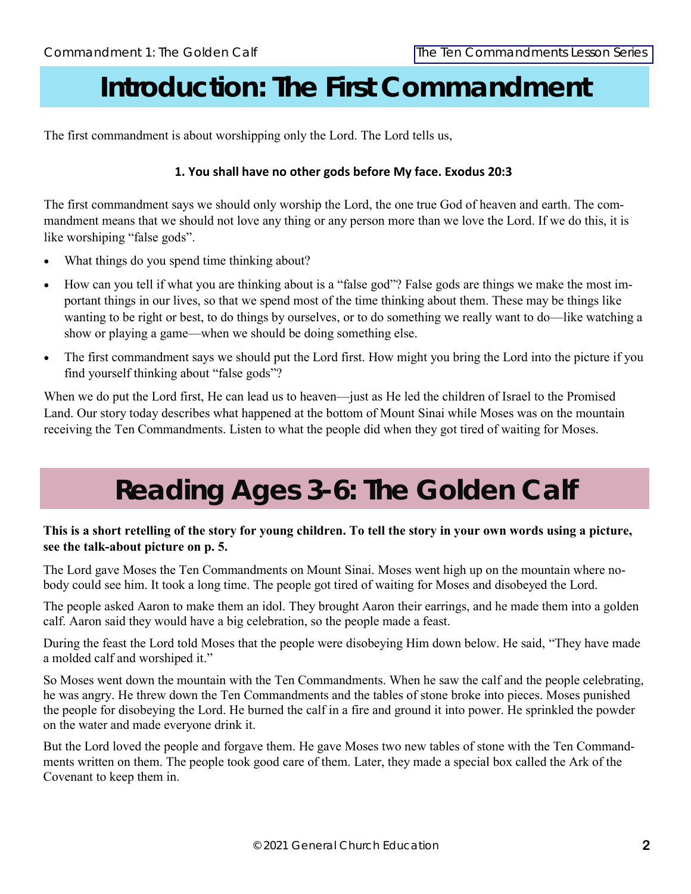### **Introduction: The First Commandment**

The first commandment is about worshipping only the Lord. The Lord tells us,

#### **1. You shall have no other gods before My face. Exodus 20:3**

The first commandment says we should only worship the Lord, the one true God of heaven and earth. The commandment means that we should not love any thing or any person more than we love the Lord. If we do this, it is like worshiping "false gods".

- What things do you spend time thinking about?
- How can you tell if what you are thinking about is a "false god"? False gods are things we make the most important things in our lives, so that we spend most of the time thinking about them. These may be things like wanting to be right or best, to do things by ourselves, or to do something we really want to do—like watching a show or playing a game—when we should be doing something else.
- The first commandment says we should put the Lord first. How might you bring the Lord into the picture if you find yourself thinking about "false gods"?

When we do put the Lord first, He can lead us to heaven—just as He led the children of Israel to the Promised Land. Our story today describes what happened at the bottom of Mount Sinai while Moses was on the mountain receiving the Ten Commandments. Listen to what the people did when they got tired of waiting for Moses.

## **Reading Ages 3-6: The Golden Calf**

#### **This is a short retelling of the story for young children. To tell the story in your own words using a picture, see the talk-about picture on p. 5.**

The Lord gave Moses the Ten Commandments on Mount Sinai. Moses went high up on the mountain where nobody could see him. It took a long time. The people got tired of waiting for Moses and disobeyed the Lord.

The people asked Aaron to make them an idol. They brought Aaron their earrings, and he made them into a golden calf. Aaron said they would have a big celebration, so the people made a feast.

During the feast the Lord told Moses that the people were disobeying Him down below. He said, "They have made a molded calf and worshiped it."

So Moses went down the mountain with the Ten Commandments. When he saw the calf and the people celebrating, he was angry. He threw down the Ten Commandments and the tables of stone broke into pieces. Moses punished the people for disobeying the Lord. He burned the calf in a fire and ground it into power. He sprinkled the powder on the water and made everyone drink it.

But the Lord loved the people and forgave them. He gave Moses two new tables of stone with the Ten Commandments written on them. The people took good care of them. Later, they made a special box called the Ark of the Covenant to keep them in.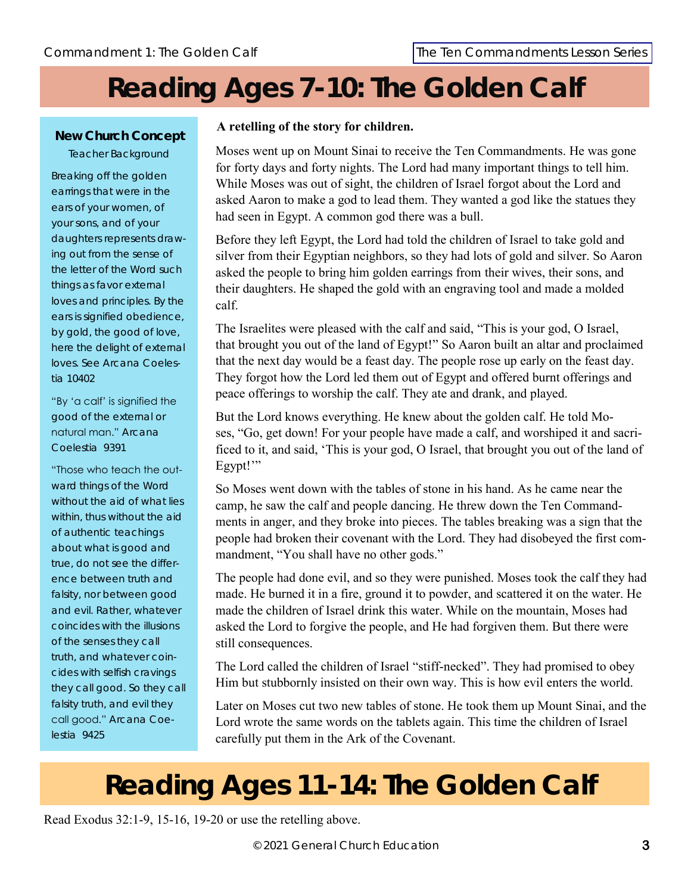# **Reading Ages 7-10: The Golden Calf**

#### **New Church Concept** Teacher Background

Breaking off the golden earrings that were in the ears of your women, of your sons, and of your daughters represents drawing out from the sense of the letter of the Word such things as favor external loves and principles. By the ears is signified obedience, by gold, the good of love, here the delight of external loves. See *Arcana Coelestia* 10402

"By 'a calf' is signified the good of the external or natural man." *Arcana Coelestia* 9391

"Those who teach the outward things of the Word without the aid of what lies within, thus without the aid of authentic teachings about what is good and true, do not see the difference between truth and falsity, nor between good and evil. Rather, whatever coincides with the illusions of the senses they call truth, and whatever coincides with selfish cravings they call good. So they call falsity truth, and evil they call good." *Arcana Coelestia* 9425

#### **A retelling of the story for children.**

Moses went up on Mount Sinai to receive the Ten Commandments. He was gone for forty days and forty nights. The Lord had many important things to tell him. While Moses was out of sight, the children of Israel forgot about the Lord and asked Aaron to make a god to lead them. They wanted a god like the statues they had seen in Egypt. A common god there was a bull.

Before they left Egypt, the Lord had told the children of Israel to take gold and silver from their Egyptian neighbors, so they had lots of gold and silver. So Aaron asked the people to bring him golden earrings from their wives, their sons, and their daughters. He shaped the gold with an engraving tool and made a molded calf.

The Israelites were pleased with the calf and said, "This is your god, O Israel, that brought you out of the land of Egypt!" So Aaron built an altar and proclaimed that the next day would be a feast day. The people rose up early on the feast day. They forgot how the Lord led them out of Egypt and offered burnt offerings and peace offerings to worship the calf. They ate and drank, and played.

But the Lord knows everything. He knew about the golden calf. He told Moses, "Go, get down! For your people have made a calf, and worshiped it and sacrificed to it, and said, 'This is your god, O Israel, that brought you out of the land of Egypt!"

So Moses went down with the tables of stone in his hand. As he came near the camp, he saw the calf and people dancing. He threw down the Ten Commandments in anger, and they broke into pieces. The tables breaking was a sign that the people had broken their covenant with the Lord. They had disobeyed the first commandment, "You shall have no other gods."

The people had done evil, and so they were punished. Moses took the calf they had made. He burned it in a fire, ground it to powder, and scattered it on the water. He made the children of Israel drink this water. While on the mountain, Moses had asked the Lord to forgive the people, and He had forgiven them. But there were still consequences.

The Lord called the children of Israel "stiff-necked". They had promised to obey Him but stubbornly insisted on their own way. This is how evil enters the world.

Later on Moses cut two new tables of stone. He took them up Mount Sinai, and the Lord wrote the same words on the tablets again. This time the children of Israel carefully put them in the Ark of the Covenant.

# **Reading Ages 11-14: The Golden Calf**

Read Exodus 32:1-9, 15-16, 19-20 or use the retelling above.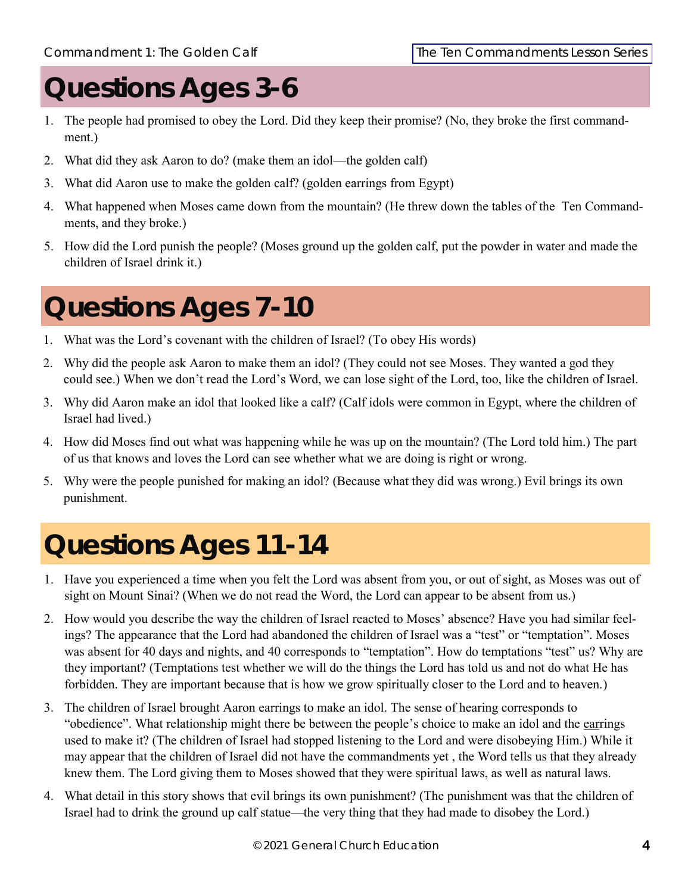### **Questions Ages 3-6**

- 1. The people had promised to obey the Lord. Did they keep their promise? (No, they broke the first commandment.)
- 2. What did they ask Aaron to do? (make them an idol—the golden calf)
- 3. What did Aaron use to make the golden calf? (golden earrings from Egypt)
- 4. What happened when Moses came down from the mountain? (He threw down the tables of the Ten Commandments, and they broke.)
- 5. How did the Lord punish the people? (Moses ground up the golden calf, put the powder in water and made the children of Israel drink it.)

## **Questions Ages 7-10**

- 1. What was the Lord's covenant with the children of Israel? (To obey His words)
- 2. Why did the people ask Aaron to make them an idol? (They could not see Moses. They wanted a god they could see.) When we don't read the Lord's Word, we can lose sight of the Lord, too, like the children of Israel.
- 3. Why did Aaron make an idol that looked like a calf? (Calf idols were common in Egypt, where the children of Israel had lived.)
- 4. How did Moses find out what was happening while he was up on the mountain? (The Lord told him.) The part of us that knows and loves the Lord can see whether what we are doing is right or wrong.
- 5. Why were the people punished for making an idol? (Because what they did was wrong.) Evil brings its own punishment.

# **Questions Ages 11-14**

- 1. Have you experienced a time when you felt the Lord was absent from you, or out of sight, as Moses was out of sight on Mount Sinai? (When we do not read the Word, the Lord can appear to be absent from us.)
- 2. How would you describe the way the children of Israel reacted to Moses' absence? Have you had similar feelings? The appearance that the Lord had abandoned the children of Israel was a "test" or "temptation". Moses was absent for 40 days and nights, and 40 corresponds to "temptation". How do temptations "test" us? Why are they important? (Temptations test whether we will do the things the Lord has told us and not do what He has forbidden. They are important because that is how we grow spiritually closer to the Lord and to heaven.)
- 3. The children of Israel brought Aaron earrings to make an idol. The sense of hearing corresponds to "obedience". What relationship might there be between the people's choice to make an idol and the earrings used to make it? (The children of Israel had stopped listening to the Lord and were disobeying Him.) While it may appear that the children of Israel did not have the commandments yet , the Word tells us that they already knew them. The Lord giving them to Moses showed that they were spiritual laws, as well as natural laws.
- 4. What detail in this story shows that evil brings its own punishment? (The punishment was that the children of Israel had to drink the ground up calf statue—the very thing that they had made to disobey the Lord.)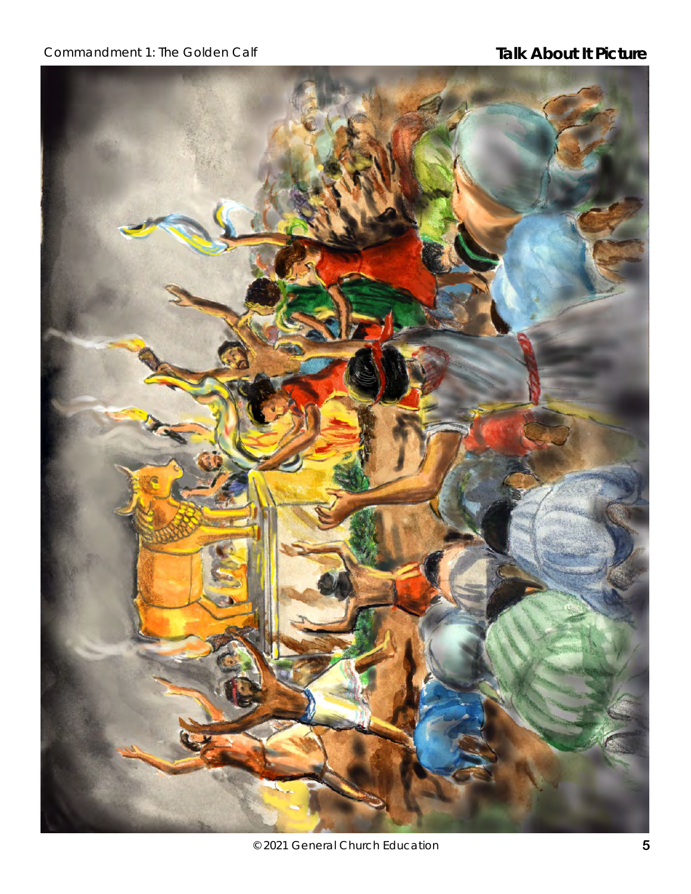### Commandment 1: The Golden Calf **Talk About It Picture**

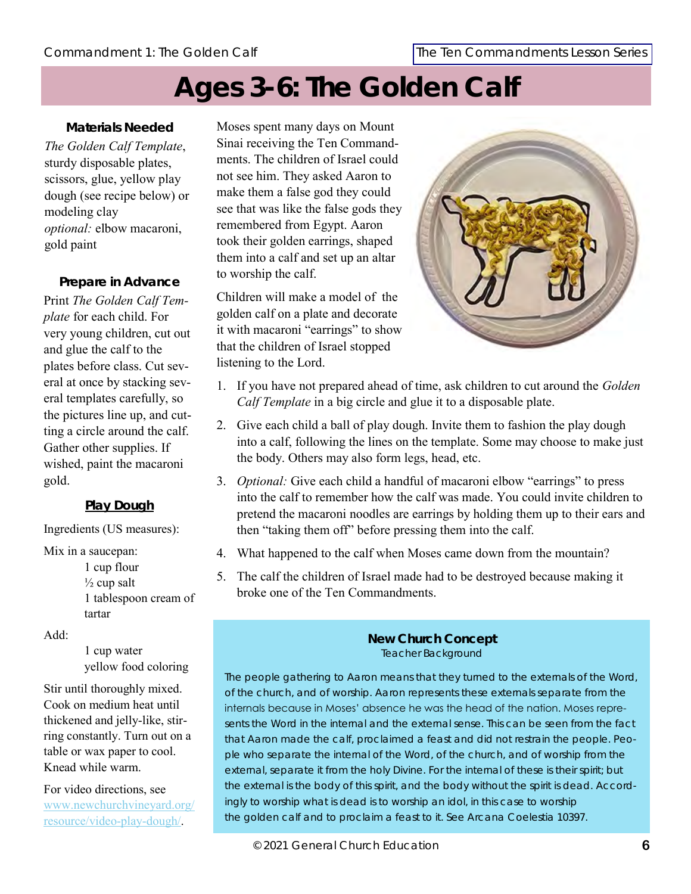### **Ages 3-6: The Golden Calf**

**Materials Needed** *The Golden Calf Template*, sturdy disposable plates, scissors, glue, yellow play dough (see recipe below) or modeling clay *optional:* elbow macaroni, gold paint

**Prepare in Advance** Print *The Golden Calf Template* for each child. For very young children, cut out and glue the calf to the plates before class. Cut several at once by stacking several templates carefully, so the pictures line up, and cutting a circle around the calf. Gather other supplies. If wished, paint the macaroni gold.

#### **Play Dough**

Ingredients (US measures):

Mix in a saucepan:

1 cup flour  $\frac{1}{2}$  cup salt 1 tablespoon cream of tartar

Add:

1 cup water yellow food coloring

Stir until thoroughly mixed. Cook on medium heat until thickened and jelly-like, stirring constantly. Turn out on a table or wax paper to cool. Knead while warm.

For video directions, see [www.newchurchvineyard.org/](https://www.newchurchvineyard.org/resource/video-play-dough/) [resource/video-play-dough/.](https://www.newchurchvineyard.org/resource/video-play-dough/)

Moses spent many days on Mount Sinai receiving the Ten Commandments. The children of Israel could not see him. They asked Aaron to make them a false god they could see that was like the false gods they remembered from Egypt. Aaron took their golden earrings, shaped them into a calf and set up an altar to worship the calf.

Children will make a model of the golden calf on a plate and decorate it with macaroni "earrings" to show that the children of Israel stopped listening to the Lord.



- 1. If you have not prepared ahead of time, ask children to cut around the *Golden Calf Template* in a big circle and glue it to a disposable plate.
- 2. Give each child a ball of play dough. Invite them to fashion the play dough into a calf, following the lines on the template. Some may choose to make just the body. Others may also form legs, head, etc.
- 3. *Optional:* Give each child a handful of macaroni elbow "earrings" to press into the calf to remember how the calf was made. You could invite children to pretend the macaroni noodles are earrings by holding them up to their ears and then "taking them off" before pressing them into the calf.
- 4. What happened to the calf when Moses came down from the mountain?
- 5. The calf the children of Israel made had to be destroyed because making it broke one of the Ten Commandments.

#### **New Church Concept** Teacher Background

The people gathering to Aaron means that they turned to the externals of the Word, of the church, and of worship. Aaron represents these externals separate from the internals because in Moses' absence he was the head of the nation. Moses represents the Word in the internal *and* the external sense. This can be seen from the fact that Aaron made the calf, proclaimed a feast and did not restrain the people. People who separate the internal of the Word, of the church, and of worship from the external, separate it from the holy Divine. For the internal of these is their spirit; but the external is the body of this spirit, and the body without the spirit is dead. Accordingly to worship what is dead is to worship an idol, in this case to worship the golden calf and to proclaim a feast to it. See *Arcana Coelestia* 10397.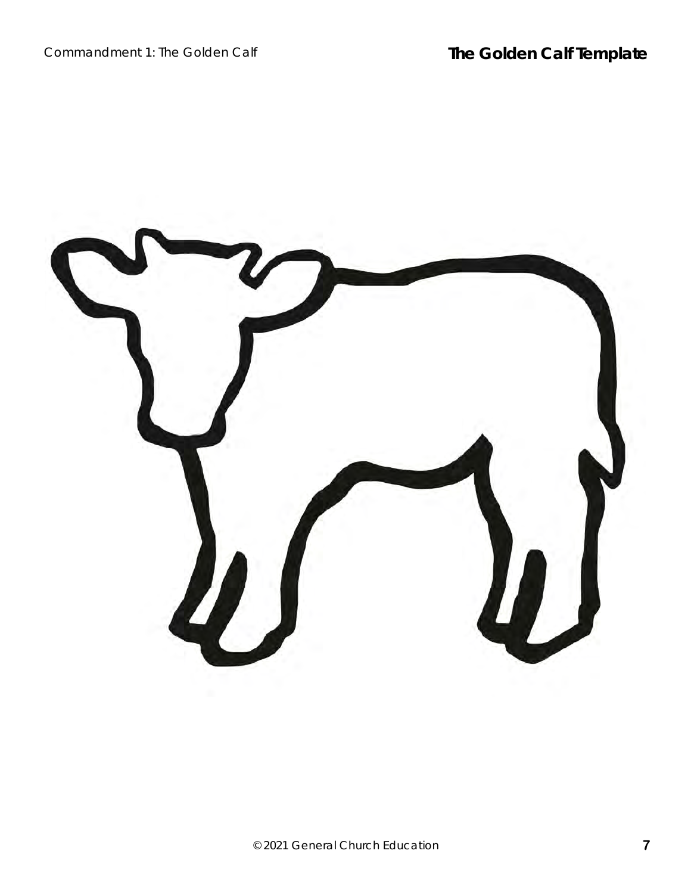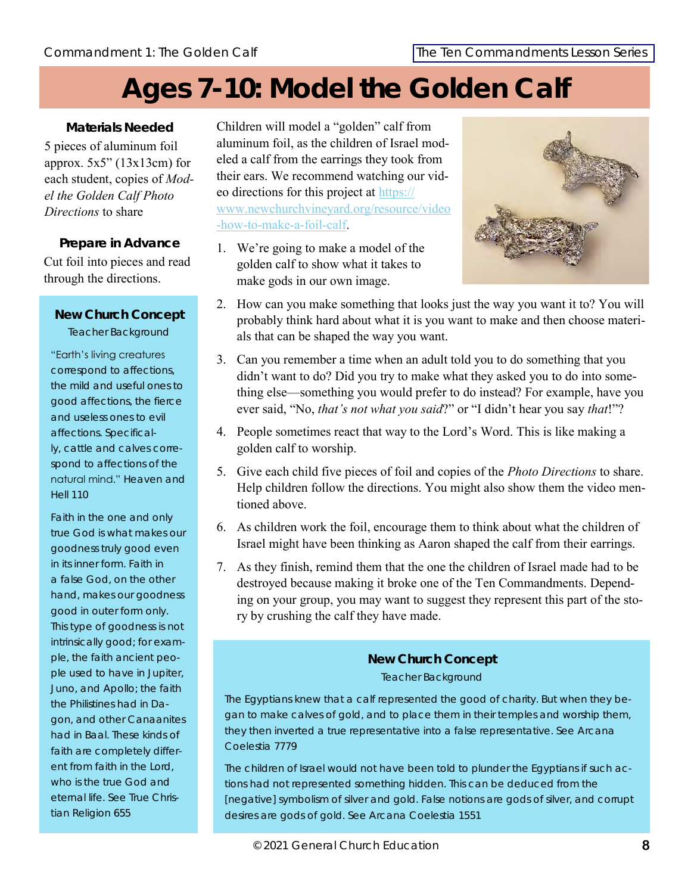## **Ages 7-10: Model the Golden Calf**

**Materials Needed** 5 pieces of aluminum foil approx.  $5x5$ " (13 $x13$ cm) for each student, copies of *Model the Golden Calf Photo Directions* to share

#### **Prepare in Advance**

Cut foil into pieces and read through the directions.

**New Church Concept** Teacher Background

"Earth's living creatures correspond to affections, the mild and useful ones to good affections, the fierce and useless ones to evil affections. Specifically, cattle and calves correspond to affections of the natural mind." *Heaven and Hell* 110

Faith in the one and only true God is what makes our goodness truly good even in its inner form. Faith in a false God, on the other hand, makes our goodness good in outer form only. This type of goodness is not intrinsically good; for example, the faith ancient people used to have in Jupiter, Juno, and Apollo; the faith the Philistines had in Dagon, and other Canaanites had in Baal. These kinds of faith are completely different from faith in the Lord, who is the true God and eternal life. See *True Christian Religion* 655

Children will model a "golden" calf from aluminum foil, as the children of Israel modeled a calf from the earrings they took from their ears. We recommend watching our video directions for this project at [https://](https://www.newchurchvineyard.org/resource/video-how-to-make-a-foil-calf/) [www.newchurchvineyard.org/resource/video](https://www.newchurchvineyard.org/resource/video-how-to-make-a-foil-calf/) [-how-to-make-a-foil-calf.](https://www.newchurchvineyard.org/resource/video-how-to-make-a-foil-calf/)

1. We're going to make a model of the golden calf to show what it takes to make gods in our own image.



- 2. How can you make something that looks just the way you want it to? You will probably think hard about what it is you want to make and then choose materials that can be shaped the way you want.
- 3. Can you remember a time when an adult told you to do something that you didn't want to do? Did you try to make what they asked you to do into something else—something you would prefer to do instead? For example, have you ever said, "No, *that's not what you said*?" or "I didn't hear you say *that*!"?
- 4. People sometimes react that way to the Lord's Word. This is like making a golden calf to worship.
- 5. Give each child five pieces of foil and copies of the *Photo Directions* to share. Help children follow the directions. You might also show them the video mentioned above.
- 6. As children work the foil, encourage them to think about what the children of Israel might have been thinking as Aaron shaped the calf from their earrings.
- 7. As they finish, remind them that the one the children of Israel made had to be destroyed because making it broke one of the Ten Commandments. Depending on your group, you may want to suggest they represent this part of the story by crushing the calf they have made.

### **New Church Concept** Teacher Background

The Egyptians knew that a calf represented the good of charity. But when they began to make calves of gold, and to place them in their temples and worship them, they then inverted a true representative into a false representative. See *Arcana Coelestia* 7779

The children of Israel would not have been told to plunder the Egyptians if such actions had not represented something hidden. This can be deduced from the [negative] symbolism of silver and gold. False notions are gods of silver, and corrupt desires are gods of gold. See *Arcana Coelestia* 1551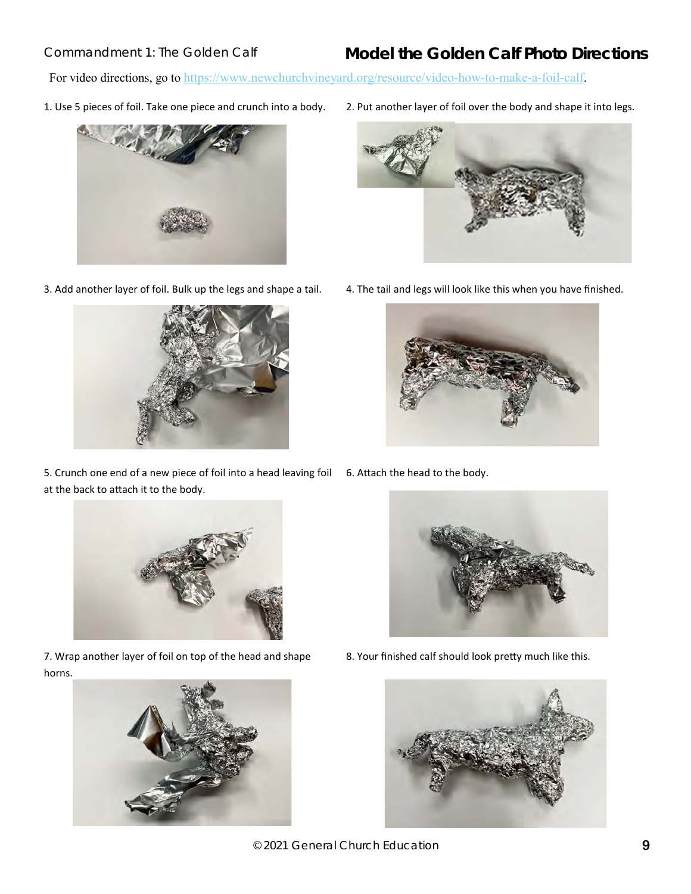### Commandment 1: The Golden Calf **Model the Golden Calf Photo Directions**

For video directions, go to [https://www.newchurchvineyard.org/resource/video-how-to-make-a-foil-calf.](https://www.newchurchvineyard.org/resource/video-how-to-make-a-foil-calf/)





5. Crunch one end of a new piece of foil into a head leaving foil 6. Attach the head to the body. at the back to attach it to the body.



7. Wrap another layer of foil on top of the head and shape horns.



1. Use 5 pieces of foil. Take one piece and crunch into a body. 2. Put another layer of foil over the body and shape it into legs.



3. Add another layer of foil. Bulk up the legs and shape a tail. 4. The tail and legs will look like this when you have finished.





8. Your finished calf should look pretty much like this.



© 2021 General Church Education **9**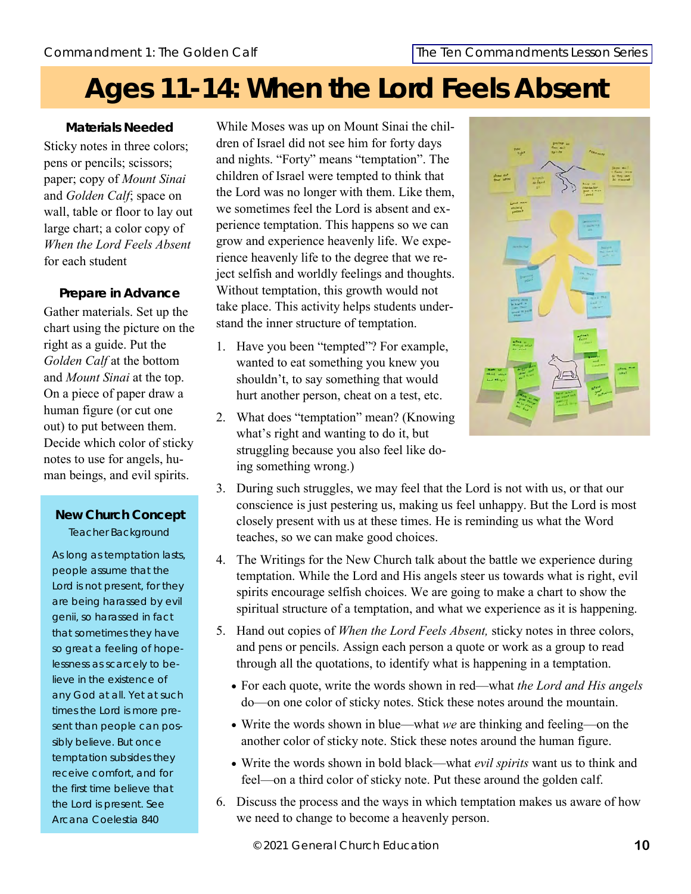# **Ages 11-14: When the Lord Feels Absent**

**Materials Needed** Sticky notes in three colors; pens or pencils; scissors; paper; copy of *Mount Sinai*  and *Golden Calf*; space on wall, table or floor to lay out large chart; a color copy of *When the Lord Feels Absent* for each student

**Prepare in Advance** Gather materials. Set up the chart using the picture on the right as a guide. Put the Golden Calf at the bottom and *Mount Sinai* at the top. On a piece of paper draw a human figure (or cut one out) to put between them. Decide which color of sticky notes to use for angels, human beings, and evil spirits.

### **New Church Concept** Teacher Background

As long as temptation lasts, people assume that the Lord is not present, for they are being harassed by evil genii, so harassed in fact that sometimes they have so great a feeling of hopelessness as scarcely to believe in the existence of any God at all. Yet at such times the Lord is more present than people can possibly believe. But once temptation subsides they receive comfort, and for the first time believe that the Lord is present. See *Arcana Coelestia* 840

While Moses was up on Mount Sinai the children of Israel did not see him for forty days and nights. "Forty" means "temptation". The children of Israel were tempted to think that the Lord was no longer with them. Like them, we sometimes feel the Lord is absent and experience temptation. This happens so we can grow and experience heavenly life. We experience heavenly life to the degree that we reject selfish and worldly feelings and thoughts. Without temptation, this growth would not take place. This activity helps students understand the inner structure of temptation.

- 1. Have you been "tempted"? For example, wanted to eat something you knew you shouldn't, to say something that would hurt another person, cheat on a test, etc.
- 2. What does "temptation" mean? (Knowing what's right and wanting to do it, but struggling because you also feel like doing something wrong.)



- 3. During such struggles, we may feel that the Lord is not with us, or that our conscience is just pestering us, making us feel unhappy. But the Lord is most closely present with us at these times. He is reminding us what the Word teaches, so we can make good choices.
- 4. The Writings for the New Church talk about the battle we experience during temptation. While the Lord and His angels steer us towards what is right, evil spirits encourage selfish choices. We are going to make a chart to show the spiritual structure of a temptation, and what we experience as it is happening.
- 5. Hand out copies of *When the Lord Feels Absent,* sticky notes in three colors, and pens or pencils. Assign each person a quote or work as a group to read through all the quotations, to identify what is happening in a temptation.
	- For each quote, write the words shown in red—what *the Lord and His angels*  do—on one color of sticky notes. Stick these notes around the mountain.
	- Write the words shown in blue—what *we* are thinking and feeling—on the another color of sticky note. Stick these notes around the human figure.
	- Write the words shown in bold black—what *evil spirits* want us to think and feel—on a third color of sticky note. Put these around the golden calf.
- 6. Discuss the process and the ways in which temptation makes us aware of how we need to change to become a heavenly person.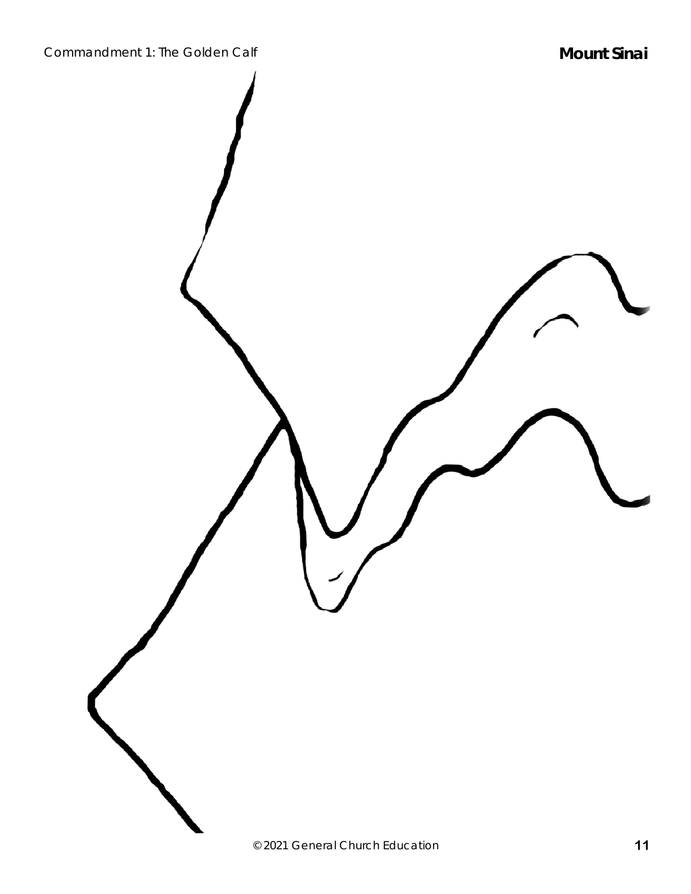Commandment 1: The Golden Calf **Mount Sinai Mount Sinai** 

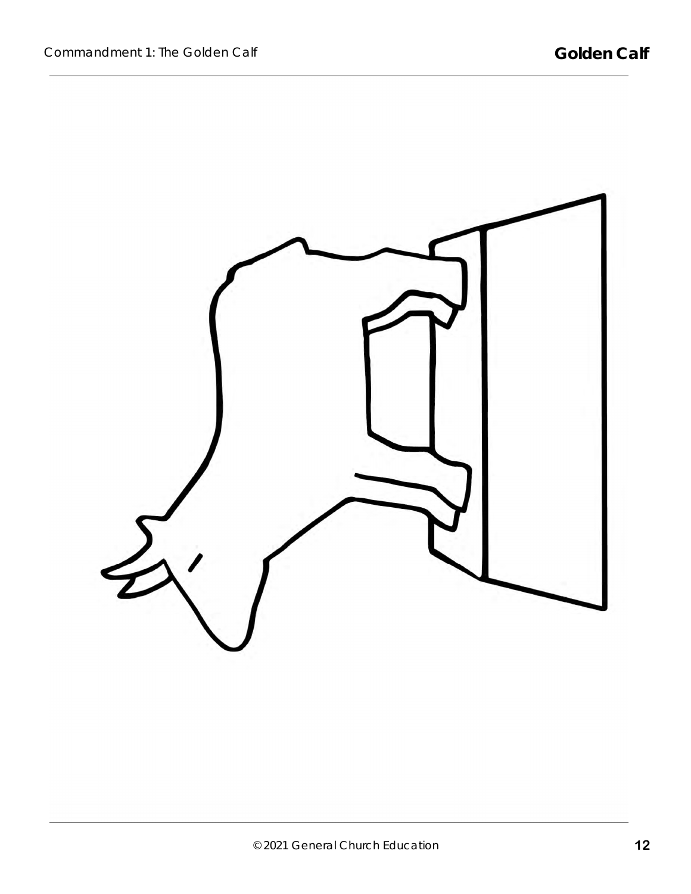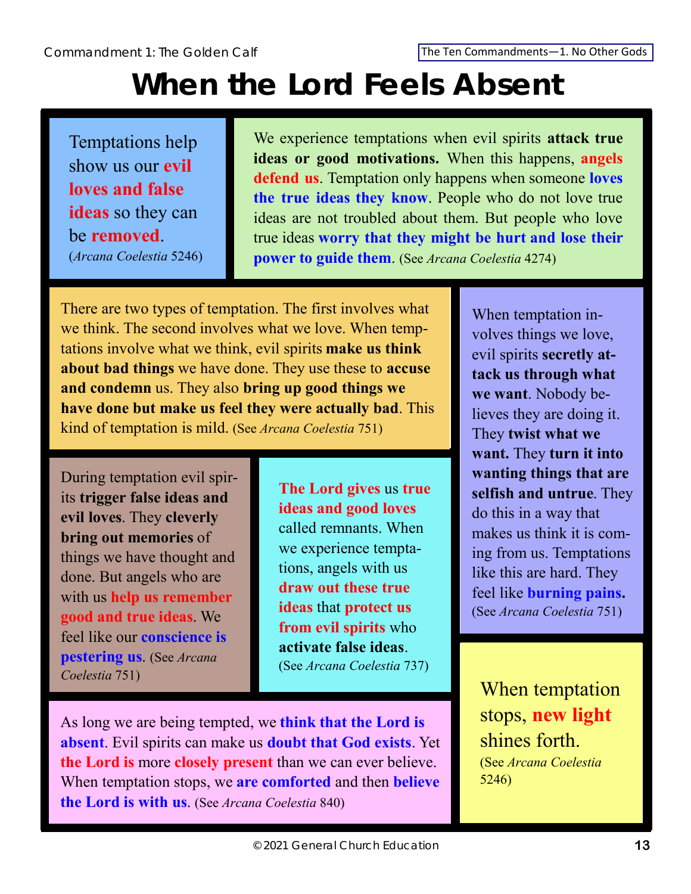Commandment 1: The Golden Calf [The Ten Commandments—](http://www.newchristianresources.org/The-Ten-Commandments--Digital-Download_p_290.html)1. No Other Gods

# **When the Lord Feels Absent**

Temptations help show us our **evil loves and false ideas** so they can be **removed**. (*Arcana Coelestia* 5246)

We experience temptations when evil spirits **attack true ideas or good motivations.** When this happens, **angels defend us**. Temptation only happens when someone **loves the true ideas they know**. People who do not love true ideas are not troubled about them. But people who love true ideas **worry that they might be hurt and lose their power to guide them**. (See *Arcana Coelestia* 4274)

There are two types of temptation. The first involves what we think. The second involves what we love. When temptations involve what we think, evil spirits **make us think about bad things** we have done. They use these to **accuse and condemn** us. They also **bring up good things we have done but make us feel they were actually bad**. This kind of temptation is mild. (See *Arcana Coelestia* 751)

During temptation evil spirits **trigger false ideas and evil loves**. They **cleverly bring out memories** of things we have thought and done. But angels who are with us **help us remember good and true ideas**. We feel like our **conscience is pestering us**. (See *Arcana Coelestia* 751)

**The Lord gives** us **true ideas and good loves**  called remnants. When we experience temptations, angels with us **draw out these true ideas** that **protect us from evil spirits** who **activate false ideas**. (See *Arcana Coelestia* 737)

As long we are being tempted, we **think that the Lord is absent**. Evil spirits can make us **doubt that God exists**. Yet **the Lord is** more **closely present** than we can ever believe. When temptation stops, we **are comforted** and then **believe the Lord is with us**. (See *Arcana Coelestia* 840)

When temptation involves things we love, evil spirits **secretly attack us through what we want**. Nobody believes they are doing it. They **twist what we want.** They **turn it into wanting things that are selfish and untrue**. They do this in a way that makes us think it is coming from us. Temptations like this are hard. They feel like **burning pains.**  (See *Arcana Coelestia* 751)

When temptation stops, **new light** shines forth. (See *Arcana Coelestia* 5246)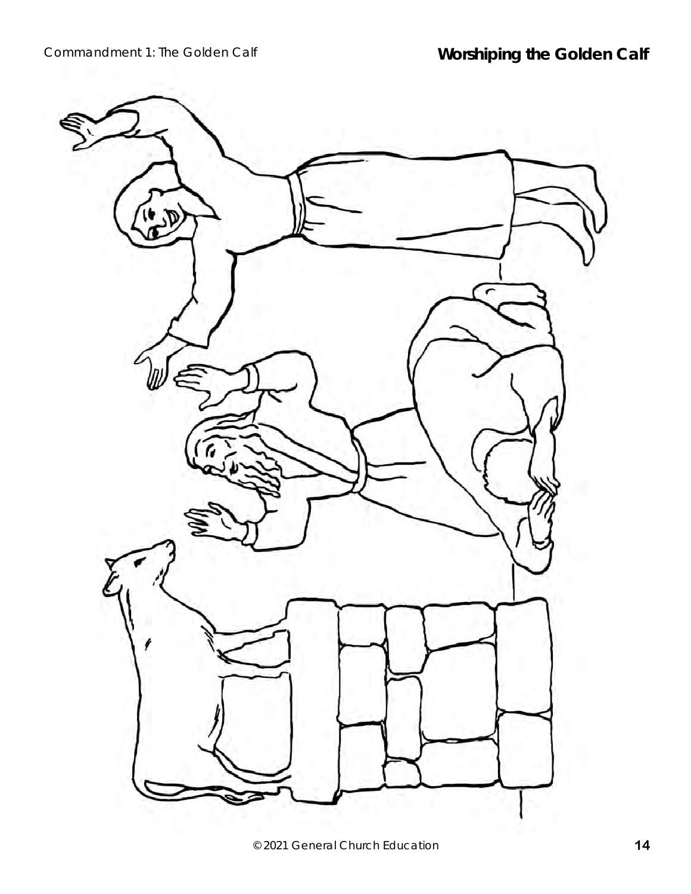